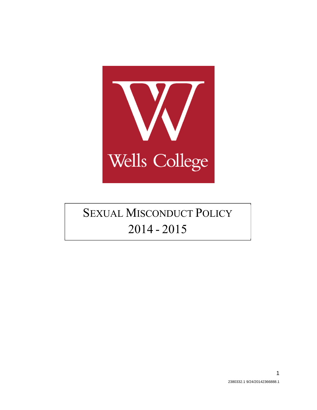

# **SEXUAL MISCONDUCT POLICY** 2014 - 2015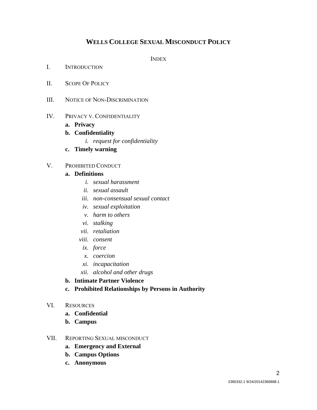# **WELLS COLLEGE SEXUAL MISCONDUCT POLICY**

INDEX

- I. INTRODUCTION
- II. SCOPE OF POLICY
- III. NOTICE OF NON-DISCRIMINATION

#### IV. PRIVACY V. CONFIDENTIALITY

- **a. Privacy**
- **b. Confidentiality** 
	- *i. request for confidentiality*
- **c. Timely warning**

#### V. PROHIBITED CONDUCT

#### **a. Definitions**

- *i. sexual harassment*
- *ii. sexual assault*
- *iii. non-consensual sexual contact*
- *iv. sexual exploitation*
- *v. harm to others*
- *vi. stalking*
- *vii. retaliation*
- *viii. consent* 
	- *ix. force*
	- *x. coercion*
- *xi. incapacitation*
- *xii. alcohol and other drugs*
- **b. Intimate Partner Violence**
- **c. Prohibited Relationships by Persons in Authority**
- VI. RESOURCES
	- **a. Confidential**
	- **b. Campus**

#### VII. REPORTING SEXUAL MISCONDUCT

- **a. Emergency and External**
- **b. Campus Options**
- **c. Anonymous**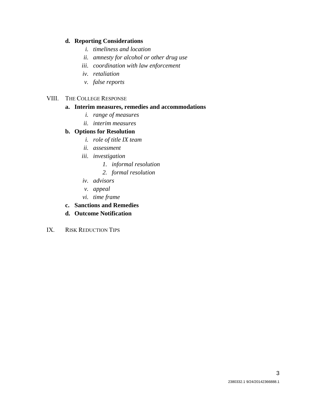#### **d. Reporting Considerations**

- *i. timeliness and location*
- *ii. amnesty for alcohol or other drug use*
- *iii. coordination with law enforcement*
- *iv. retaliation*
- *v. false reports*

### VIII. THE COLLEGE RESPONSE

### **a. Interim measures, remedies and accommodations**

- *i. range of measures*
- *ii. interim measures*

# **b. Options for Resolution**

- *i. role of title IX team*
- *ii. assessment*
- *iii. investigation* 
	- *1. informal resolution*
	- *2. formal resolution*
- *iv. advisors*
- *v. appeal*
- *vi. time frame*
- **c. Sanctions and Remedies**
- **d. Outcome Notification**
- IX. RISK REDUCTION TIPS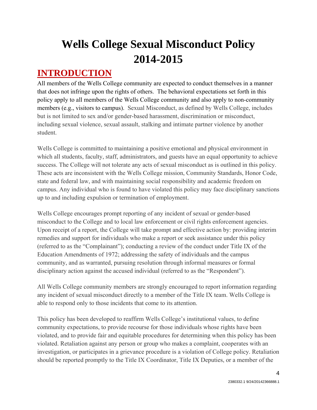# **Wells College Sexual Misconduct Policy 2014-2015**

# **INTRODUCTION**

All members of the Wells College community are expected to conduct themselves in a manner that does not infringe upon the rights of others. The behavioral expectations set forth in this policy apply to all members of the Wells College community and also apply to non-community members (e.g., visitors to campus). Sexual Misconduct, as defined by Wells College, includes but is not limited to sex and/or gender-based harassment, discrimination or misconduct, including sexual violence, sexual assault, stalking and intimate partner violence by another student.

Wells College is committed to maintaining a positive emotional and physical environment in which all students, faculty, staff, administrators, and guests have an equal opportunity to achieve success. The College will not tolerate any acts of sexual misconduct as is outlined in this policy. These acts are inconsistent with the Wells College mission, Community Standards, Honor Code, state and federal law, and with maintaining social responsibility and academic freedom on campus. Any individual who is found to have violated this policy may face disciplinary sanctions up to and including expulsion or termination of employment.

Wells College encourages prompt reporting of any incident of sexual or gender-based misconduct to the College and to local law enforcement or civil rights enforcement agencies. Upon receipt of a report, the College will take prompt and effective action by: providing interim remedies and support for individuals who make a report or seek assistance under this policy (referred to as the "Complainant"); conducting a review of the conduct under Title IX of the Education Amendments of 1972; addressing the safety of individuals and the campus community, and as warranted, pursuing resolution through informal measures or formal disciplinary action against the accused individual (referred to as the "Respondent").

All Wells College community members are strongly encouraged to report information regarding any incident of sexual misconduct directly to a member of the Title IX team. Wells College is able to respond only to those incidents that come to its attention.

This policy has been developed to reaffirm Wells College's institutional values, to define community expectations, to provide recourse for those individuals whose rights have been violated, and to provide fair and equitable procedures for determining when this policy has been violated. Retaliation against any person or group who makes a complaint, cooperates with an investigation, or participates in a grievance procedure is a violation of College policy. Retaliation should be reported promptly to the Title IX Coordinator, Title IX Deputies, or a member of the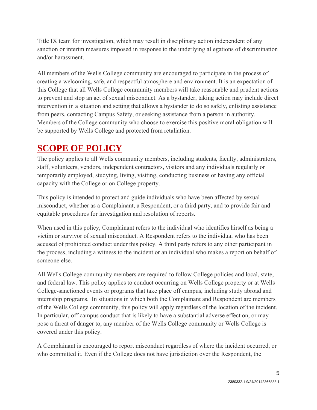Title IX team for investigation, which may result in disciplinary action independent of any sanction or interim measures imposed in response to the underlying allegations of discrimination and/or harassment.

All members of the Wells College community are encouraged to participate in the process of creating a welcoming, safe, and respectful atmosphere and environment. It is an expectation of this College that all Wells College community members will take reasonable and prudent actions to prevent and stop an act of sexual misconduct. As a bystander, taking action may include direct intervention in a situation and setting that allows a bystander to do so safely, enlisting assistance from peers, contacting Campus Safety, or seeking assistance from a person in authority. Members of the College community who choose to exercise this positive moral obligation will be supported by Wells College and protected from retaliation.

# **SCOPE OF POLICY**

The policy applies to all Wells community members, including students, faculty, administrators, staff, volunteers, vendors, independent contractors, visitors and any individuals regularly or temporarily employed, studying, living, visiting, conducting business or having any official capacity with the College or on College property.

This policy is intended to protect and guide individuals who have been affected by sexual misconduct, whether as a Complainant, a Respondent, or a third party, and to provide fair and equitable procedures for investigation and resolution of reports.

When used in this policy, Complainant refers to the individual who identifies hirself as being a victim or survivor of sexual misconduct. A Respondent refers to the individual who has been accused of prohibited conduct under this policy. A third party refers to any other participant in the process, including a witness to the incident or an individual who makes a report on behalf of someone else.

All Wells College community members are required to follow College policies and local, state, and federal law. This policy applies to conduct occurring on Wells College property or at Wells College-sanctioned events or programs that take place off campus, including study abroad and internship programs. In situations in which both the Complainant and Respondent are members of the Wells College community, this policy will apply regardless of the location of the incident. In particular, off campus conduct that is likely to have a substantial adverse effect on, or may pose a threat of danger to, any member of the Wells College community or Wells College is covered under this policy.

A Complainant is encouraged to report misconduct regardless of where the incident occurred, or who committed it. Even if the College does not have jurisdiction over the Respondent, the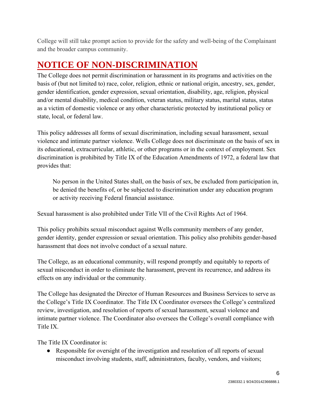College will still take prompt action to provide for the safety and well-being of the Complainant and the broader campus community.

# **NOTICE OF NON-DISCRIMINATION**

The College does not permit discrimination or harassment in its programs and activities on the basis of (but not limited to) race, color, religion, ethnic or national origin, ancestry, sex, gender, gender identification, gender expression, sexual orientation, disability, age, religion, physical and/or mental disability, medical condition, veteran status, military status, marital status, status as a victim of domestic violence or any other characteristic protected by institutional policy or state, local, or federal law.

This policy addresses all forms of sexual discrimination, including sexual harassment, sexual violence and intimate partner violence. Wells College does not discriminate on the basis of sex in its educational, extracurricular, athletic, or other programs or in the context of employment. Sex discrimination is prohibited by Title IX of the Education Amendments of 1972, a federal law that provides that:

No person in the United States shall, on the basis of sex, be excluded from participation in, be denied the benefits of, or be subjected to discrimination under any education program or activity receiving Federal financial assistance.

Sexual harassment is also prohibited under Title VII of the Civil Rights Act of 1964.

This policy prohibits sexual misconduct against Wells community members of any gender, gender identity, gender expression or sexual orientation. This policy also prohibits gender-based harassment that does not involve conduct of a sexual nature.

The College, as an educational community, will respond promptly and equitably to reports of sexual misconduct in order to eliminate the harassment, prevent its recurrence, and address its effects on any individual or the community.

The College has designated the Director of Human Resources and Business Services to serve as the College's Title IX Coordinator. The Title IX Coordinator oversees the College's centralized review, investigation, and resolution of reports of sexual harassment, sexual violence and intimate partner violence. The Coordinator also oversees the College's overall compliance with Title IX.

The Title IX Coordinator is:

• Responsible for oversight of the investigation and resolution of all reports of sexual misconduct involving students, staff, administrators, faculty, vendors, and visitors;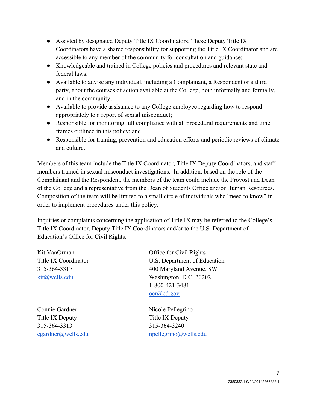- Assisted by designated Deputy Title IX Coordinators. These Deputy Title IX Coordinators have a shared responsibility for supporting the Title IX Coordinator and are accessible to any member of the community for consultation and guidance;
- Knowledgeable and trained in College policies and procedures and relevant state and federal laws;
- Available to advise any individual, including a Complainant, a Respondent or a third party, about the courses of action available at the College, both informally and formally, and in the community;
- Available to provide assistance to any College employee regarding how to respond appropriately to a report of sexual misconduct;
- Responsible for monitoring full compliance with all procedural requirements and time frames outlined in this policy; and
- Responsible for training, prevention and education efforts and periodic reviews of climate and culture.

Members of this team include the Title IX Coordinator, Title IX Deputy Coordinators, and staff members trained in sexual misconduct investigations. In addition, based on the role of the Complainant and the Respondent, the members of the team could include the Provost and Dean of the College and a representative from the Dean of Students Office and/or Human Resources. Composition of the team will be limited to a small circle of individuals who "need to know" in order to implement procedures under this policy.

Inquiries or complaints concerning the application of Title IX may be referred to the College's Title IX Coordinator, Deputy Title IX Coordinators and/or to the U.S. Department of Education's Office for Civil Rights:

Connie Gardner Nicole Pellegrino Title IX Deputy Title IX Deputy 315-364-3313 315-364-3240

Kit VanOrman Office for Civil Rights Title IX Coordinator U.S. Department of Education 315-364-3317 400 Maryland Avenue, SW kit@wells.edu Washington, D.C. 20202 1-800-421-3481 ocr@ed.gov

cgardner@wells.edu npellegrino@wells.edu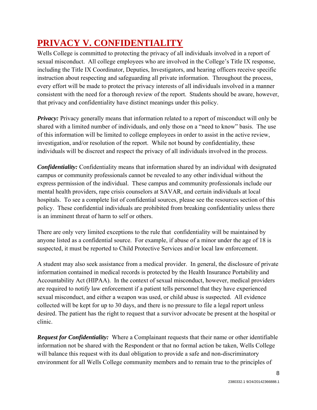# **PRIVACY V. CONFIDENTIALITY**

Wells College is committed to protecting the privacy of all individuals involved in a report of sexual misconduct. All college employees who are involved in the College's Title IX response, including the Title IX Coordinator, Deputies, Investigators, and hearing officers receive specific instruction about respecting and safeguarding all private information. Throughout the process, every effort will be made to protect the privacy interests of all individuals involved in a manner consistent with the need for a thorough review of the report. Students should be aware, however, that privacy and confidentiality have distinct meanings under this policy.

*Privacy:* Privacy generally means that information related to a report of misconduct will only be shared with a limited number of individuals, and only those on a "need to know" basis. The use of this information will be limited to college employees in order to assist in the active review, investigation, and/or resolution of the report. While not bound by confidentiality, these individuals will be discreet and respect the privacy of all individuals involved in the process.

*Confidentiality:* Confidentiality means that information shared by an individual with designated campus or community professionals cannot be revealed to any other individual without the express permission of the individual. These campus and community professionals include our mental health providers, rape crisis counselors at SAVAR, and certain individuals at local hospitals. To see a complete list of confidential sources, please see the resources section of this policy. These confidential individuals are prohibited from breaking confidentiality unless there is an imminent threat of harm to self or others.

There are only very limited exceptions to the rule that confidentiality will be maintained by anyone listed as a confidential source. For example, if abuse of a minor under the age of 18 is suspected, it must be reported to Child Protective Services and/or local law enforcement.

A student may also seek assistance from a medical provider. In general, the disclosure of private information contained in medical records is protected by the Health Insurance Portability and Accountability Act (HIPAA). In the context of sexual misconduct, however, medical providers are required to notify law enforcement if a patient tells personnel that they have experienced sexual misconduct, and either a weapon was used, or child abuse is suspected. All evidence collected will be kept for up to 30 days, and there is no pressure to file a legal report unless desired. The patient has the right to request that a survivor advocate be present at the hospital or clinic.

*Request for Confidentiality:* Where a Complainant requests that their name or other identifiable information not be shared with the Respondent or that no formal action be taken, Wells College will balance this request with its dual obligation to provide a safe and non-discriminatory environment for all Wells College community members and to remain true to the principles of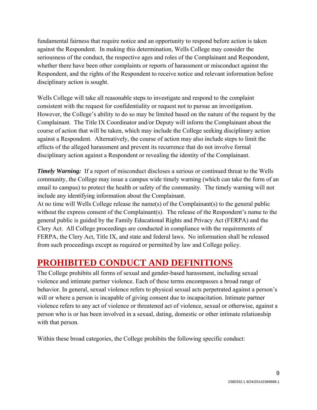fundamental fairness that require notice and an opportunity to respond before action is taken against the Respondent. In making this determination, Wells College may consider the seriousness of the conduct, the respective ages and roles of the Complainant and Respondent, whether there have been other complaints or reports of harassment or misconduct against the Respondent, and the rights of the Respondent to receive notice and relevant information before disciplinary action is sought.

Wells College will take all reasonable steps to investigate and respond to the complaint consistent with the request for confidentiality or request not to pursue an investigation. However, the College's ability to do so may be limited based on the nature of the request by the Complainant. The Title IX Coordinator and/or Deputy will inform the Complainant about the course of action that will be taken, which may include the College seeking disciplinary action against a Respondent. Alternatively, the course of action may also include steps to limit the effects of the alleged harassment and prevent its recurrence that do not involve formal disciplinary action against a Respondent or revealing the identity of the Complainant.

*Timely Warning:* If a report of misconduct discloses a serious or continued threat to the Wells community, the College may issue a campus wide timely warning (which can take the form of an email to campus) to protect the health or safety of the community. The timely warning will not include any identifying information about the Complainant.

At no time will Wells College release the name(s) of the Complainant(s) to the general public without the express consent of the Complainant(s). The release of the Respondent's name to the general public is guided by the Family Educational Rights and Privacy Act (FERPA) and the Clery Act. All College proceedings are conducted in compliance with the requirements of FERPA, the Clery Act, Title IX, and state and federal laws. No information shall be released from such proceedings except as required or permitted by law and College policy.

# **PROHIBITED CONDUCT AND DEFINITIONS**

The College prohibits all forms of sexual and gender-based harassment, including sexual violence and intimate partner violence. Each of these terms encompasses a broad range of behavior. In general, sexual violence refers to physical sexual acts perpetrated against a person's will or where a person is incapable of giving consent due to incapacitation. Intimate partner violence refers to any act of violence or threatened act of violence, sexual or otherwise, against a person who is or has been involved in a sexual, dating, domestic or other intimate relationship with that person.

Within these broad categories, the College prohibits the following specific conduct: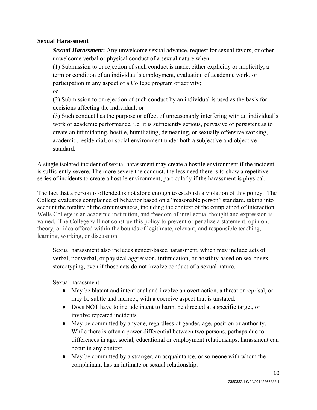### **Sexual Harassment**

*Sexual Harassment***:** Any unwelcome sexual advance, request for sexual favors, or other unwelcome verbal or physical conduct of a sexual nature when:

(1) Submission to or rejection of such conduct is made, either explicitly or implicitly, a term or condition of an individual's employment, evaluation of academic work, or participation in any aspect of a College program or activity;

*or*

(2) Submission to or rejection of such conduct by an individual is used as the basis for decisions affecting the individual; or

(3) Such conduct has the purpose or effect of unreasonably interfering with an individual's work or academic performance, i.e. it is sufficiently serious, pervasive or persistent as to create an intimidating, hostile, humiliating, demeaning, or sexually offensive working, academic, residential, or social environment under both a subjective and objective standard.

A single isolated incident of sexual harassment may create a hostile environment if the incident is sufficiently severe. The more severe the conduct, the less need there is to show a repetitive series of incidents to create a hostile environment, particularly if the harassment is physical.

The fact that a person is offended is not alone enough to establish a violation of this policy. The College evaluates complained of behavior based on a "reasonable person" standard, taking into account the totality of the circumstances, including the context of the complained of interaction. Wells College is an academic institution, and freedom of intellectual thought and expression is valued. The College will not construe this policy to prevent or penalize a statement, opinion, theory, or idea offered within the bounds of legitimate, relevant, and responsible teaching, learning, working, or discussion.

Sexual harassment also includes gender-based harassment, which may include acts of verbal, nonverbal, or physical aggression, intimidation, or hostility based on sex or sex stereotyping, even if those acts do not involve conduct of a sexual nature.

Sexual harassment:

- May be blatant and intentional and involve an overt action, a threat or reprisal, or may be subtle and indirect, with a coercive aspect that is unstated.
- Does NOT have to include intent to harm, be directed at a specific target, or involve repeated incidents.
- May be committed by anyone, regardless of gender, age, position or authority. While there is often a power differential between two persons, perhaps due to differences in age, social, educational or employment relationships, harassment can occur in any context.
- May be committed by a stranger, an acquaintance, or someone with whom the complainant has an intimate or sexual relationship.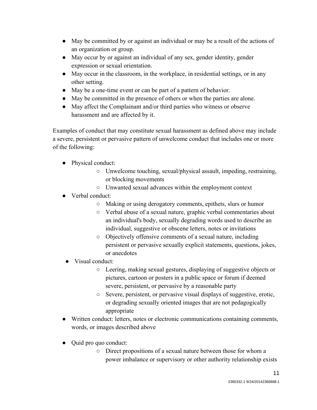- May be committed by or against an individual or may be a result of the actions of an organization or group.
- May occur by or against an individual of any sex, gender identity, gender expression or sexual orientation.
- May occur in the classroom, in the workplace, in residential settings, or in any other setting.
- May be a one-time event or can be part of a pattern of behavior.
- May be committed in the presence of others or when the parties are alone.
- May affect the Complainant and/or third parties who witness or observe harassment and are affected by it.

Examples of conduct that may constitute sexual harassment as defined above may include a severe, persistent or pervasive pattern of unwelcome conduct that includes one or more of the following:

- Physical conduct:
	- Unwelcome touching, sexual/physical assault, impeding, restraining, or blocking movements
	- Unwanted sexual advances within the employment context
- Verbal conduct:
	- Making or using derogatory comments, epithets, slurs or humor
	- Verbal abuse of a sexual nature, graphic verbal commentaries about an individual's body, sexually degrading words used to describe an individual, suggestive or obscene letters, notes or invitations
	- Objectively offensive comments of a sexual nature, including persistent or pervasive sexually explicit statements, questions, jokes, or anecdotes
- Visual conduct:
	- Leering, making sexual gestures, displaying of suggestive objects or pictures, cartoon or posters in a public space or forum if deemed severe, persistent, or pervasive by a reasonable party
	- Severe, persistent, or pervasive visual displays of suggestive, erotic, or degrading sexually oriented images that are not pedagogically appropriate
- Written conduct: letters, notes or electronic communications containing comments, words, or images described above
- Ouid pro quo conduct:
	- Direct propositions of a sexual nature between those for whom a power imbalance or supervisory or other authority relationship exists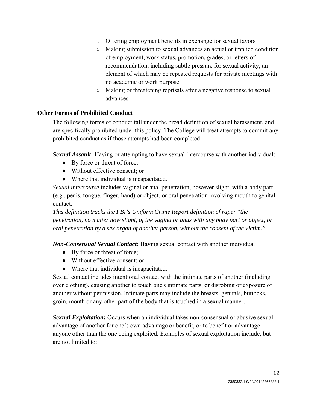- Offering employment benefits in exchange for sexual favors
- Making submission to sexual advances an actual or implied condition of employment, work status, promotion, grades, or letters of recommendation, including subtle pressure for sexual activity, an element of which may be repeated requests for private meetings with no academic or work purpose
- Making or threatening reprisals after a negative response to sexual advances

# **Other Forms of Prohibited Conduct**

The following forms of conduct fall under the broad definition of sexual harassment, and are specifically prohibited under this policy. The College will treat attempts to commit any prohibited conduct as if those attempts had been completed.

*Sexual Assault***:** Having or attempting to have sexual intercourse with another individual:

- By force or threat of force;
- Without effective consent; or
- Where that individual is incapacitated.

*Sexual intercourse* includes vaginal or anal penetration, however slight, with a body part (e.g., penis, tongue, finger, hand) or object, or oral penetration involving mouth to genital contact.

*This definition tracks the FBI's Uniform Crime Report definition of rape: "the penetration, no matter how slight, of the vagina or anus with any body part or object, or oral penetration by a sex organ of another person, without the consent of the victim."* 

*Non-Consensual Sexual Contact***:** Having sexual contact with another individual:

- By force or threat of force;
- Without effective consent; or
- Where that individual is incapacitated.

Sexual contact includes intentional contact with the intimate parts of another (including over clothing), causing another to touch one's intimate parts, or disrobing or exposure of another without permission. Intimate parts may include the breasts, genitals, buttocks, groin, mouth or any other part of the body that is touched in a sexual manner.

*Sexual Exploitation***:** Occurs when an individual takes non-consensual or abusive sexual advantage of another for one's own advantage or benefit, or to benefit or advantage anyone other than the one being exploited. Examples of sexual exploitation include, but are not limited to: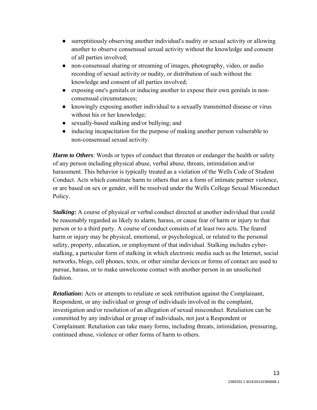- surreptitiously observing another individual's nudity or sexual activity or allowing another to observe consensual sexual activity without the knowledge and consent of all parties involved;
- non-consensual sharing or streaming of images, photography, video, or audio recording of sexual activity or nudity, or distribution of such without the knowledge and consent of all parties involved;
- exposing one's genitals or inducing another to expose their own genitals in nonconsensual circumstances;
- knowingly exposing another individual to a sexually transmitted disease or virus without his or her knowledge;
- sexually-based stalking and/or bullying; and
- inducing incapacitation for the purpose of making another person vulnerable to non-consensual sexual activity.

*Harm to Others*: Words or types of conduct that threaten or endanger the health or safety of any person including physical abuse, verbal abuse, threats, intimidation and/or harassment. This behavior is typically treated as a violation of the Wells Code of Student Conduct. Acts which constitute harm to others that are a form of intimate partner violence, or are based on sex or gender, will be resolved under the Wells College Sexual Misconduct Policy.

*Stalking***:** A course of physical or verbal conduct directed at another individual that could be reasonably regarded as likely to alarm, harass, or cause fear of harm or injury to that person or to a third party. A course of conduct consists of at least two acts. The feared harm or injury may be physical, emotional, or psychological, or related to the personal safety, property, education, or employment of that individual. Stalking includes cyberstalking, a particular form of stalking in which electronic media such as the Internet, social networks, blogs, cell phones, texts, or other similar devices or forms of contact are used to pursue, harass, or to make unwelcome contact with another person in an unsolicited fashion.

*Retaliation***:** Acts or attempts to retaliate or seek retribution against the Complainant, Respondent, or any individual or group of individuals involved in the complaint, investigation and/or resolution of an allegation of sexual misconduct. Retaliation can be committed by any individual or group of individuals, not just a Respondent or Complainant. Retaliation can take many forms, including threats, intimidation, pressuring, continued abuse, violence or other forms of harm to others.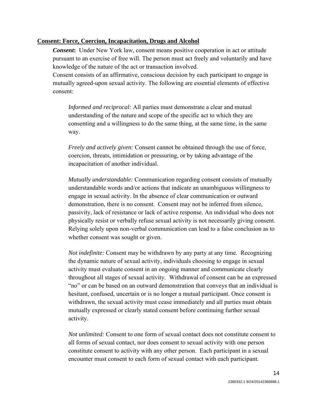### **Consent: Force, Coercion, Incapacitation, Drugs and Alcohol**

*Consent***:** Under New York law, consent means positive cooperation in act or attitude pursuant to an exercise of free will. The person must act freely and voluntarily and have knowledge of the nature of the act or transaction involved.

Consent consists of an affirmative, conscious decision by each participant to engage in mutually agreed-upon sexual activity. The following are essential elements of effective consent:

*Informed and reciprocal:* All parties must demonstrate a clear and mutual understanding of the nature and scope of the specific act to which they are consenting and a willingness to do the same thing, at the same time, in the same way.

*Freely and actively given:* Consent cannot be obtained through the use of force, coercion, threats, intimidation or pressuring, or by taking advantage of the incapacitation of another individual.

*Mutually understandable:* Communication regarding consent consists of mutually understandable words and/or actions that indicate an unambiguous willingness to engage in sexual activity. In the absence of clear communication or outward demonstration, there is no consent. Consent may not be inferred from silence, passivity, lack of resistance or lack of active response. An individual who does not physically resist or verbally refuse sexual activity is not necessarily giving consent. Relying solely upon non-verbal communication can lead to a false conclusion as to whether consent was sought or given.

*Not indefinite:* Consent may be withdrawn by any party at any time. Recognizing the dynamic nature of sexual activity, individuals choosing to engage in sexual activity must evaluate consent in an ongoing manner and communicate clearly throughout all stages of sexual activity. Withdrawal of consent can be an expressed "no" or can be based on an outward demonstration that conveys that an individual is hesitant, confused, uncertain or is no longer a mutual participant. Once consent is withdrawn, the sexual activity must cease immediately and all parties must obtain mutually expressed or clearly stated consent before continuing further sexual activity.

*Not unlimited:* Consent to one form of sexual contact does not constitute consent to all forms of sexual contact, nor does consent to sexual activity with one person constitute consent to activity with any other person. Each participant in a sexual encounter must consent to each form of sexual contact with each participant.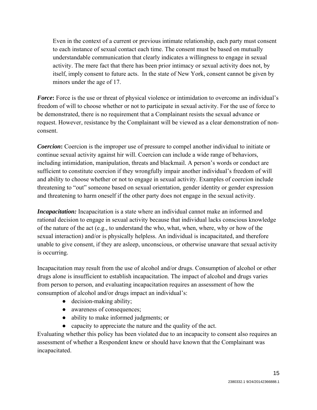Even in the context of a current or previous intimate relationship, each party must consent to each instance of sexual contact each time. The consent must be based on mutually understandable communication that clearly indicates a willingness to engage in sexual activity. The mere fact that there has been prior intimacy or sexual activity does not, by itself, imply consent to future acts. In the state of New York, consent cannot be given by minors under the age of 17.

*Force***:** Force is the use or threat of physical violence or intimidation to overcome an individual's freedom of will to choose whether or not to participate in sexual activity. For the use of force to be demonstrated, there is no requirement that a Complainant resists the sexual advance or request. However, resistance by the Complainant will be viewed as a clear demonstration of nonconsent.

*Coercion***:** Coercion is the improper use of pressure to compel another individual to initiate or continue sexual activity against hir will. Coercion can include a wide range of behaviors, including intimidation, manipulation, threats and blackmail. A person's words or conduct are sufficient to constitute coercion if they wrongfully impair another individual's freedom of will and ability to choose whether or not to engage in sexual activity. Examples of coercion include threatening to "out" someone based on sexual orientation, gender identity or gender expression and threatening to harm oneself if the other party does not engage in the sexual activity.

*Incapacitation:* Incapacitation is a state where an individual cannot make an informed and rational decision to engage in sexual activity because that individual lacks conscious knowledge of the nature of the act (e.g., to understand the who, what, when, where, why or how of the sexual interaction) and/or is physically helpless. An individual is incapacitated, and therefore unable to give consent, if they are asleep, unconscious, or otherwise unaware that sexual activity is occurring.

Incapacitation may result from the use of alcohol and/or drugs. Consumption of alcohol or other drugs alone is insufficient to establish incapacitation. The impact of alcohol and drugs varies from person to person, and evaluating incapacitation requires an assessment of how the consumption of alcohol and/or drugs impact an individual's:

- decision-making ability;
- awareness of consequences;
- ability to make informed judgments; or
- capacity to appreciate the nature and the quality of the act.

Evaluating whether this policy has been violated due to an incapacity to consent also requires an assessment of whether a Respondent knew or should have known that the Complainant was incapacitated.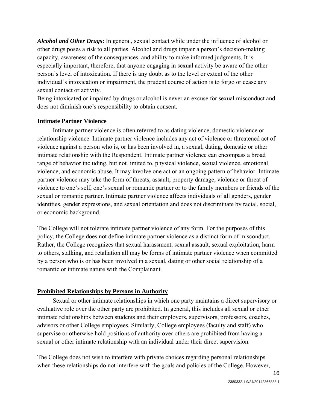*Alcohol and Other Drugs***:** In general, sexual contact while under the influence of alcohol or other drugs poses a risk to all parties. Alcohol and drugs impair a person's decision-making capacity, awareness of the consequences, and ability to make informed judgments. It is especially important, therefore, that anyone engaging in sexual activity be aware of the other person's level of intoxication. If there is any doubt as to the level or extent of the other individual's intoxication or impairment, the prudent course of action is to forgo or cease any sexual contact or activity.

Being intoxicated or impaired by drugs or alcohol is never an excuse for sexual misconduct and does not diminish one's responsibility to obtain consent.

# **Intimate Partner Violence**

Intimate partner violence is often referred to as dating violence, domestic violence or relationship violence. Intimate partner violence includes any act of violence or threatened act of violence against a person who is, or has been involved in, a sexual, dating, domestic or other intimate relationship with the Respondent. Intimate partner violence can encompass a broad range of behavior including, but not limited to, physical violence, sexual violence, emotional violence, and economic abuse. It may involve one act or an ongoing pattern of behavior. Intimate partner violence may take the form of threats, assault, property damage, violence or threat of violence to one's self, one's sexual or romantic partner or to the family members or friends of the sexual or romantic partner. Intimate partner violence affects individuals of all genders, gender identities, gender expressions, and sexual orientation and does not discriminate by racial, social, or economic background.

The College will not tolerate intimate partner violence of any form. For the purposes of this policy, the College does not define intimate partner violence as a distinct form of misconduct. Rather, the College recognizes that sexual harassment, sexual assault, sexual exploitation, harm to others, stalking, and retaliation all may be forms of intimate partner violence when committed by a person who is or has been involved in a sexual, dating or other social relationship of a romantic or intimate nature with the Complainant.

### **Prohibited Relationships by Persons in Authority**

Sexual or other intimate relationships in which one party maintains a direct supervisory or evaluative role over the other party are prohibited. In general, this includes all sexual or other intimate relationships between students and their employers, supervisors, professors, coaches, advisors or other College employees. Similarly, College employees (faculty and staff) who supervise or otherwise hold positions of authority over others are prohibited from having a sexual or other intimate relationship with an individual under their direct supervision.

The College does not wish to interfere with private choices regarding personal relationships when these relationships do not interfere with the goals and policies of the College. However,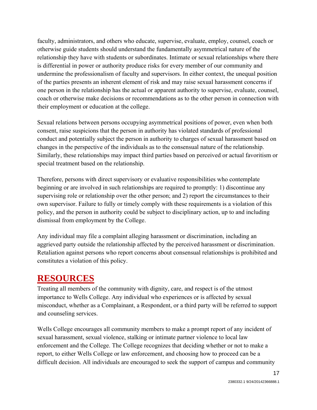faculty, administrators, and others who educate, supervise, evaluate, employ, counsel, coach or otherwise guide students should understand the fundamentally asymmetrical nature of the relationship they have with students or subordinates. Intimate or sexual relationships where there is differential in power or authority produce risks for every member of our community and undermine the professionalism of faculty and supervisors. In either context, the unequal position of the parties presents an inherent element of risk and may raise sexual harassment concerns if one person in the relationship has the actual or apparent authority to supervise, evaluate, counsel, coach or otherwise make decisions or recommendations as to the other person in connection with their employment or education at the college.

Sexual relations between persons occupying asymmetrical positions of power, even when both consent, raise suspicions that the person in authority has violated standards of professional conduct and potentially subject the person in authority to charges of sexual harassment based on changes in the perspective of the individuals as to the consensual nature of the relationship. Similarly, these relationships may impact third parties based on perceived or actual favoritism or special treatment based on the relationship.

Therefore, persons with direct supervisory or evaluative responsibilities who contemplate beginning or are involved in such relationships are required to promptly: 1) discontinue any supervising role or relationship over the other person; and 2) report the circumstances to their own supervisor. Failure to fully or timely comply with these requirements is a violation of this policy, and the person in authority could be subject to disciplinary action, up to and including dismissal from employment by the College.

Any individual may file a complaint alleging harassment or discrimination, including an aggrieved party outside the relationship affected by the perceived harassment or discrimination. Retaliation against persons who report concerns about consensual relationships is prohibited and constitutes a violation of this policy.

# **RESOURCES**

Treating all members of the community with dignity, care, and respect is of the utmost importance to Wells College. Any individual who experiences or is affected by sexual misconduct, whether as a Complainant, a Respondent, or a third party will be referred to support and counseling services.

Wells College encourages all community members to make a prompt report of any incident of sexual harassment, sexual violence, stalking or intimate partner violence to local law enforcement and the College. The College recognizes that deciding whether or not to make a report, to either Wells College or law enforcement, and choosing how to proceed can be a difficult decision. All individuals are encouraged to seek the support of campus and community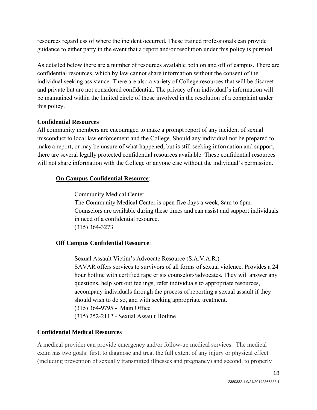resources regardless of where the incident occurred. These trained professionals can provide guidance to either party in the event that a report and/or resolution under this policy is pursued.

As detailed below there are a number of resources available both on and off of campus. There are confidential resources, which by law cannot share information without the consent of the individual seeking assistance. There are also a variety of College resources that will be discreet and private but are not considered confidential. The privacy of an individual's information will be maintained within the limited circle of those involved in the resolution of a complaint under this policy.

# **Confidential Resources**

All community members are encouraged to make a prompt report of any incident of sexual misconduct to local law enforcement and the College. Should any individual not be prepared to make a report, or may be unsure of what happened, but is still seeking information and support, there are several legally protected confidential resources available. These confidential resources will not share information with the College or anyone else without the individual's permission.

# **On Campus Confidential Resource**:

Community Medical Center The Community Medical Center is open five days a week, 8am to 6pm. Counselors are available during these times and can assist and support individuals in need of a confidential resource. (315) 364-3273

# **Off Campus Confidential Resource**:

 Sexual Assault Victim's Advocate Resource (S.A.V.A.R.) SAVAR offers services to survivors of all forms of sexual violence. Provides a 24 hour hotline with certified rape crisis counselors/advocates. They will answer any questions, help sort out feelings, refer individuals to appropriate resources, accompany individuals through the process of reporting a sexual assault if they should wish to do so, and with seeking appropriate treatment. (315) 364-9795 - Main Office (315) 252-2112 - Sexual Assault Hotline

# **Confidential Medical Resources**

A medical provider can provide emergency and/or follow-up medical services. The medical exam has two goals: first, to diagnose and treat the full extent of any injury or physical effect (including prevention of sexually transmitted illnesses and pregnancy) and second, to properly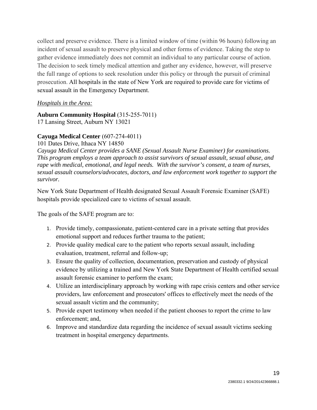collect and preserve evidence. There is a limited window of time (within 96 hours) following an incident of sexual assault to preserve physical and other forms of evidence. Taking the step to gather evidence immediately does not commit an individual to any particular course of action. The decision to seek timely medical attention and gather any evidence, however, will preserve the full range of options to seek resolution under this policy or through the pursuit of criminal prosecution. All hospitals in the state of New York are required to provide care for victims of sexual assault in the Emergency Department.

### *Hospitals in the Area:*

# **Auburn Community Hospital** (315-255-7011)

17 Lansing Street, Auburn NY 13021

# **Cayuga Medical Center** (607-274-4011)

101 Dates Drive, Ithaca NY 14850

*Cayuga Medical Center provides a SANE (Sexual Assault Nurse Examiner) for examinations. This program employs a team approach to assist survivors of sexual assault, sexual abuse, and rape with medical, emotional, and legal needs. With the survivor's consent, a team of nurses, sexual assault counselors/advocates, doctors, and law enforcement work together to support the survivor.*

New York State Department of Health designated Sexual Assault Forensic Examiner (SAFE) hospitals provide specialized care to victims of sexual assault.

The goals of the SAFE program are to:

- 1. Provide timely, compassionate, patient-centered care in a private setting that provides emotional support and reduces further trauma to the patient;
- 2. Provide quality medical care to the patient who reports sexual assault, including evaluation, treatment, referral and follow-up;
- 3. Ensure the quality of collection, documentation, preservation and custody of physical evidence by utilizing a trained and New York State Department of Health certified sexual assault forensic examiner to perform the exam;
- 4. Utilize an interdisciplinary approach by working with rape crisis centers and other service providers, law enforcement and prosecutors' offices to effectively meet the needs of the sexual assault victim and the community;
- 5. Provide expert testimony when needed if the patient chooses to report the crime to law enforcement; and,
- 6. Improve and standardize data regarding the incidence of sexual assault victims seeking treatment in hospital emergency departments.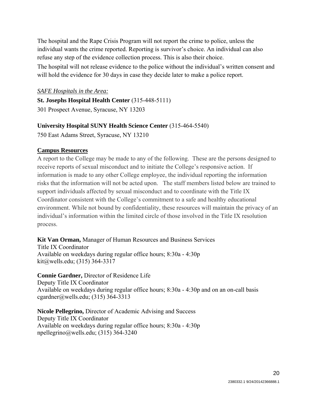The hospital and the Rape Crisis Program will not report the crime to police, unless the individual wants the crime reported. Reporting is survivor's choice. An individual can also refuse any step of the evidence collection process. This is also their choice.

The hospital will not release evidence to the police without the individual's written consent and will hold the evidence for 30 days in case they decide later to make a police report.

#### *SAFE Hospitals in the Area:*

**St. Josephs Hospital Health Center** (315-448-5111) 301 Prospect Avenue, Syracuse, NY 13203

# **University Hospital SUNY Health Science Center** (315-464-5540)

750 East Adams Street, Syracuse, NY 13210

# **Campus Resources**

A report to the College may be made to any of the following. These are the persons designed to receive reports of sexual misconduct and to initiate the College's responsive action. If information is made to any other College employee, the individual reporting the information risks that the information will not be acted upon. The staff members listed below are trained to support individuals affected by sexual misconduct and to coordinate with the Title IX Coordinator consistent with the College's commitment to a safe and healthy educational environment. While not bound by confidentiality, these resources will maintain the privacy of an individual's information within the limited circle of those involved in the Title IX resolution process.

#### **Kit Van Orman,** Manager of Human Resources and Business Services Title IX Coordinator

Available on weekdays during regular office hours; 8:30a - 4:30p kit@wells.edu; (315) 364-3317

**Connie Gardner,** Director of Residence Life Deputy Title IX Coordinator Available on weekdays during regular office hours; 8:30a - 4:30p and on an on-call basis cgardner@wells.edu; (315) 364-3313

**Nicole Pellegrino,** Director of Academic Advising and Success Deputy Title IX Coordinator Available on weekdays during regular office hours; 8:30a - 4:30p npellegrino@wells.edu; (315) 364-3240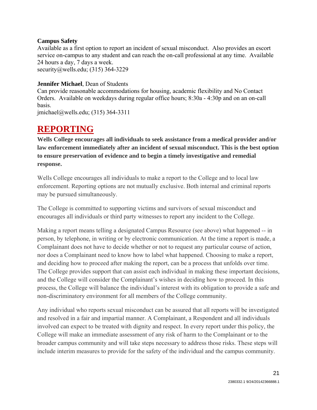### **Campus Safety**

Available as a first option to report an incident of sexual misconduct. Also provides an escort service on-campus to any student and can reach the on-call professional at any time. Available 24 hours a day, 7 days a week. security@wells.edu; (315) 364-3229

# **Jennifer Michael**, Dean of Students

Can provide reasonable accommodations for housing, academic flexibility and No Contact Orders. Available on weekdays during regular office hours; 8:30a - 4:30p and on an on-call basis.

jmichael@wells.edu; (315) 364-3311

# **REPORTING**

**Wells College encourages all individuals to seek assistance from a medical provider and/or law enforcement immediately after an incident of sexual misconduct. This is the best option to ensure preservation of evidence and to begin a timely investigative and remedial response.**

Wells College encourages all individuals to make a report to the College and to local law enforcement. Reporting options are not mutually exclusive. Both internal and criminal reports may be pursued simultaneously.

The College is committed to supporting victims and survivors of sexual misconduct and encourages all individuals or third party witnesses to report any incident to the College.

Making a report means telling a designated Campus Resource (see above) what happened -- in person, by telephone, in writing or by electronic communication. At the time a report is made, a Complainant does not have to decide whether or not to request any particular course of action, nor does a Complainant need to know how to label what happened. Choosing to make a report, and deciding how to proceed after making the report, can be a process that unfolds over time. The College provides support that can assist each individual in making these important decisions, and the College will consider the Complainant's wishes in deciding how to proceed. In this process, the College will balance the individual's interest with its obligation to provide a safe and non-discriminatory environment for all members of the College community.

Any individual who reports sexual misconduct can be assured that all reports will be investigated and resolved in a fair and impartial manner. A Complainant, a Respondent and all individuals involved can expect to be treated with dignity and respect. In every report under this policy, the College will make an immediate assessment of any risk of harm to the Complainant or to the broader campus community and will take steps necessary to address those risks. These steps will include interim measures to provide for the safety of the individual and the campus community.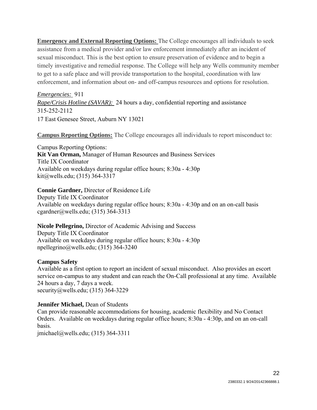**Emergency and External Reporting Options:** The College encourages all individuals to seek assistance from a medical provider and/or law enforcement immediately after an incident of sexual misconduct. This is the best option to ensure preservation of evidence and to begin a timely investigative and remedial response. The College will help any Wells community member to get to a safe place and will provide transportation to the hospital, coordination with law enforcement, and information about on- and off-campus resources and options for resolution.

*Emergencies:* 911 *Rape/Crisis Hotline (SAVAR):* 24 hours a day, confidential reporting and assistance 315-252-2112 17 East Genesee Street, Auburn NY 13021

**Campus Reporting Options:** The College encourages all individuals to report misconduct to:

Campus Reporting Options: **Kit Van Orman,** Manager of Human Resources and Business Services Title IX Coordinator Available on weekdays during regular office hours; 8:30a - 4:30p kit@wells.edu; (315) 364-3317

**Connie Gardner,** Director of Residence Life Deputy Title IX Coordinator Available on weekdays during regular office hours; 8:30a - 4:30p and on an on-call basis cgardner@wells.edu; (315) 364-3313

**Nicole Pellegrino,** Director of Academic Advising and Success Deputy Title IX Coordinator Available on weekdays during regular office hours; 8:30a - 4:30p npellegrino@wells.edu; (315) 364-3240

### **Campus Safety**

Available as a first option to report an incident of sexual misconduct. Also provides an escort service on-campus to any student and can reach the On-Call professional at any time. Available 24 hours a day, 7 days a week. security@wells.edu; (315) 364-3229

### **Jennifer Michael,** Dean of Students

Can provide reasonable accommodations for housing, academic flexibility and No Contact Orders. Available on weekdays during regular office hours; 8:30a - 4:30p, and on an on-call basis.

jmichael@wells.edu; (315) 364-3311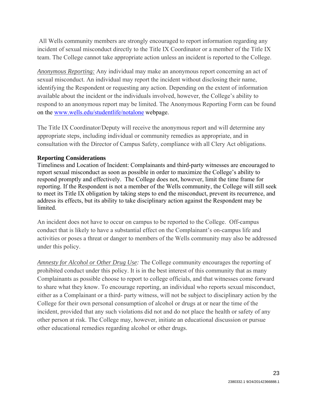All Wells community members are strongly encouraged to report information regarding any incident of sexual misconduct directly to the Title IX Coordinator or a member of the Title IX team. The College cannot take appropriate action unless an incident is reported to the College.

*Anonymous Reporting:* Any individual may make an anonymous report concerning an act of sexual misconduct. An individual may report the incident without disclosing their name, identifying the Respondent or requesting any action. Depending on the extent of information available about the incident or the individuals involved, however, the College's ability to respond to an anonymous report may be limited. The Anonymous Reporting Form can be found on the www.wells.edu/studentlife/notalone webpage.

The Title IX Coordinator/Deputy will receive the anonymous report and will determine any appropriate steps, including individual or community remedies as appropriate, and in consultation with the Director of Campus Safety, compliance with all Clery Act obligations.

# **Reporting Considerations**

Timeliness and Location of Incident: Complainants and third-party witnesses are encouraged to report sexual misconduct as soon as possible in order to maximize the College's ability to respond promptly and effectively. The College does not, however, limit the time frame for reporting. If the Respondent is not a member of the Wells community, the College will still seek to meet its Title IX obligation by taking steps to end the misconduct, prevent its recurrence, and address its effects, but its ability to take disciplinary action against the Respondent may be limited.

An incident does not have to occur on campus to be reported to the College. Off-campus conduct that is likely to have a substantial effect on the Complainant's on-campus life and activities or poses a threat or danger to members of the Wells community may also be addressed under this policy.

*Amnesty for Alcohol or Other Drug Use:* The College community encourages the reporting of prohibited conduct under this policy. It is in the best interest of this community that as many Complainants as possible choose to report to college officials, and that witnesses come forward to share what they know. To encourage reporting, an individual who reports sexual misconduct, either as a Complainant or a third- party witness, will not be subject to disciplinary action by the College for their own personal consumption of alcohol or drugs at or near the time of the incident, provided that any such violations did not and do not place the health or safety of any other person at risk. The College may, however, initiate an educational discussion or pursue other educational remedies regarding alcohol or other drugs.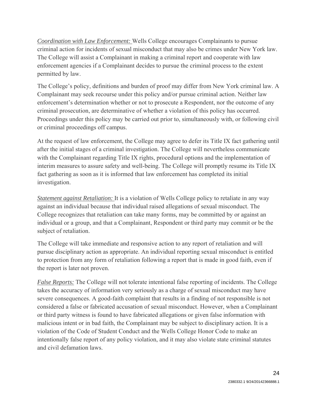*Coordination with Law Enforcement:* Wells College encourages Complainants to pursue criminal action for incidents of sexual misconduct that may also be crimes under New York law. The College will assist a Complainant in making a criminal report and cooperate with law enforcement agencies if a Complainant decides to pursue the criminal process to the extent permitted by law.

The College's policy, definitions and burden of proof may differ from New York criminal law. A Complainant may seek recourse under this policy and/or pursue criminal action. Neither law enforcement's determination whether or not to prosecute a Respondent, nor the outcome of any criminal prosecution, are determinative of whether a violation of this policy has occurred. Proceedings under this policy may be carried out prior to, simultaneously with, or following civil or criminal proceedings off campus.

At the request of law enforcement, the College may agree to defer its Title IX fact gathering until after the initial stages of a criminal investigation. The College will nevertheless communicate with the Complainant regarding Title IX rights, procedural options and the implementation of interim measures to assure safety and well-being. The College will promptly resume its Title IX fact gathering as soon as it is informed that law enforcement has completed its initial investigation.

*Statement against Retaliation:* It is a violation of Wells College policy to retaliate in any way against an individual because that individual raised allegations of sexual misconduct. The College recognizes that retaliation can take many forms, may be committed by or against an individual or a group, and that a Complainant, Respondent or third party may commit or be the subject of retaliation.

The College will take immediate and responsive action to any report of retaliation and will pursue disciplinary action as appropriate. An individual reporting sexual misconduct is entitled to protection from any form of retaliation following a report that is made in good faith, even if the report is later not proven.

*False Reports:* The College will not tolerate intentional false reporting of incidents. The College takes the accuracy of information very seriously as a charge of sexual misconduct may have severe consequences. A good-faith complaint that results in a finding of not responsible is not considered a false or fabricated accusation of sexual misconduct. However, when a Complainant or third party witness is found to have fabricated allegations or given false information with malicious intent or in bad faith, the Complainant may be subject to disciplinary action. It is a violation of the Code of Student Conduct and the Wells College Honor Code to make an intentionally false report of any policy violation, and it may also violate state criminal statutes and civil defamation laws.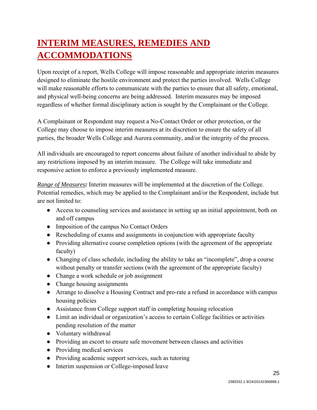# **INTERIM MEASURES, REMEDIES AND ACCOMMODATIONS**

Upon receipt of a report, Wells College will impose reasonable and appropriate interim measures designed to eliminate the hostile environment and protect the parties involved. Wells College will make reasonable efforts to communicate with the parties to ensure that all safety, emotional, and physical well-being concerns are being addressed. Interim measures may be imposed regardless of whether formal disciplinary action is sought by the Complainant or the College.

A Complainant or Respondent may request a No-Contact Order or other protection, or the College may choose to impose interim measures at its discretion to ensure the safety of all parties, the broader Wells College and Aurora community, and/or the integrity of the process.

All individuals are encouraged to report concerns about failure of another individual to abide by any restrictions imposed by an interim measure. The College will take immediate and responsive action to enforce a previously implemented measure.

*Range of Measures:* Interim measures will be implemented at the discretion of the College. Potential remedies, which may be applied to the Complainant and/or the Respondent, include but are not limited to:

- Access to counseling services and assistance in setting up an initial appointment, both on and off campus
- Imposition of the campus No Contact Orders
- Rescheduling of exams and assignments in conjunction with appropriate faculty
- Providing alternative course completion options (with the agreement of the appropriate faculty)
- Changing of class schedule, including the ability to take an "incomplete", drop a course without penalty or transfer sections (with the agreement of the appropriate faculty)
- Change a work schedule or job assignment
- Change housing assignments
- Arrange to dissolve a Housing Contract and pro-rate a refund in accordance with campus housing policies
- Assistance from College support staff in completing housing relocation
- Limit an individual or organization's access to certain College facilities or activities pending resolution of the matter
- Voluntary withdrawal
- Providing an escort to ensure safe movement between classes and activities
- Providing medical services
- Providing academic support services, such as tutoring
- Interim suspension or College-imposed leave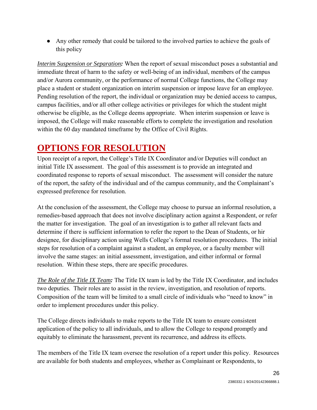● Any other remedy that could be tailored to the involved parties to achieve the goals of this policy

*Interim Suspension or Separation:* When the report of sexual misconduct poses a substantial and immediate threat of harm to the safety or well-being of an individual, members of the campus and/or Aurora community, or the performance of normal College functions, the College may place a student or student organization on interim suspension or impose leave for an employee. Pending resolution of the report, the individual or organization may be denied access to campus, campus facilities, and/or all other college activities or privileges for which the student might otherwise be eligible, as the College deems appropriate. When interim suspension or leave is imposed, the College will make reasonable efforts to complete the investigation and resolution within the 60 day mandated timeframe by the Office of Civil Rights.

# **OPTIONS FOR RESOLUTION**

Upon receipt of a report, the College's Title IX Coordinator and/or Deputies will conduct an initial Title IX assessment. The goal of this assessment is to provide an integrated and coordinated response to reports of sexual misconduct. The assessment will consider the nature of the report, the safety of the individual and of the campus community, and the Complainant's expressed preference for resolution.

At the conclusion of the assessment, the College may choose to pursue an informal resolution, a remedies-based approach that does not involve disciplinary action against a Respondent, or refer the matter for investigation. The goal of an investigation is to gather all relevant facts and determine if there is sufficient information to refer the report to the Dean of Students, or hir designee, for disciplinary action using Wells College's formal resolution procedures. The initial steps for resolution of a complaint against a student, an employee, or a faculty member will involve the same stages: an initial assessment, investigation, and either informal or formal resolution. Within these steps, there are specific procedures.

*The Role of the Title IX Team:* The Title IX team is led by the Title IX Coordinator, and includes two deputies. Their roles are to assist in the review, investigation, and resolution of reports. Composition of the team will be limited to a small circle of individuals who "need to know" in order to implement procedures under this policy.

The College directs individuals to make reports to the Title IX team to ensure consistent application of the policy to all individuals, and to allow the College to respond promptly and equitably to eliminate the harassment, prevent its recurrence, and address its effects.

The members of the Title IX team oversee the resolution of a report under this policy. Resources are available for both students and employees, whether as Complainant or Respondents, to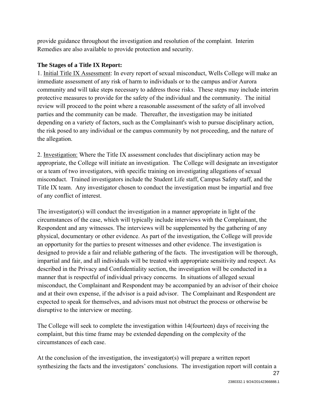provide guidance throughout the investigation and resolution of the complaint. Interim Remedies are also available to provide protection and security.

# **The Stages of a Title IX Report:**

1. Initial Title IX Assessment: In every report of sexual misconduct, Wells College will make an immediate assessment of any risk of harm to individuals or to the campus and/or Aurora community and will take steps necessary to address those risks. These steps may include interim protective measures to provide for the safety of the individual and the community. The initial review will proceed to the point where a reasonable assessment of the safety of all involved parties and the community can be made. Thereafter, the investigation may be initiated depending on a variety of factors, such as the Complainant's wish to pursue disciplinary action, the risk posed to any individual or the campus community by not proceeding, and the nature of the allegation.

2. Investigation: Where the Title IX assessment concludes that disciplinary action may be appropriate, the College will initiate an investigation. The College will designate an investigator or a team of two investigators, with specific training on investigating allegations of sexual misconduct. Trained investigators include the Student Life staff, Campus Safety staff, and the Title IX team. Any investigator chosen to conduct the investigation must be impartial and free of any conflict of interest.

The investigator(s) will conduct the investigation in a manner appropriate in light of the circumstances of the case, which will typically include interviews with the Complainant, the Respondent and any witnesses. The interviews will be supplemented by the gathering of any physical, documentary or other evidence. As part of the investigation, the College will provide an opportunity for the parties to present witnesses and other evidence. The investigation is designed to provide a fair and reliable gathering of the facts. The investigation will be thorough, impartial and fair, and all individuals will be treated with appropriate sensitivity and respect. As described in the Privacy and Confidentiality section, the investigation will be conducted in a manner that is respectful of individual privacy concerns. In situations of alleged sexual misconduct, the Complainant and Respondent may be accompanied by an advisor of their choice and at their own expense, if the advisor is a paid advisor. The Complainant and Respondent are expected to speak for themselves, and advisors must not obstruct the process or otherwise be disruptive to the interview or meeting.

The College will seek to complete the investigation within 14(fourteen) days of receiving the complaint, but this time frame may be extended depending on the complexity of the circumstances of each case.

At the conclusion of the investigation, the investigator(s) will prepare a written report synthesizing the facts and the investigators' conclusions. The investigation report will contain a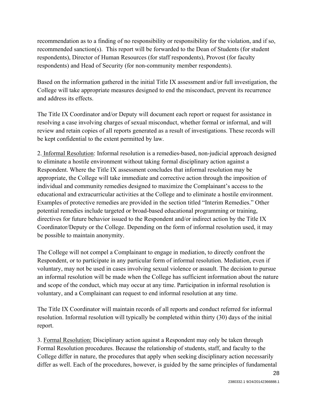recommendation as to a finding of no responsibility or responsibility for the violation, and if so, recommended sanction(s). This report will be forwarded to the Dean of Students (for student respondents), Director of Human Resources (for staff respondents), Provost (for faculty respondents) and Head of Security (for non-community member respondents).

Based on the information gathered in the initial Title IX assessment and/or full investigation, the College will take appropriate measures designed to end the misconduct, prevent its recurrence and address its effects.

The Title IX Coordinator and/or Deputy will document each report or request for assistance in resolving a case involving charges of sexual misconduct, whether formal or informal, and will review and retain copies of all reports generated as a result of investigations. These records will be kept confidential to the extent permitted by law.

2. Informal Resolution: Informal resolution is a remedies-based, non-judicial approach designed to eliminate a hostile environment without taking formal disciplinary action against a Respondent. Where the Title IX assessment concludes that informal resolution may be appropriate, the College will take immediate and corrective action through the imposition of individual and community remedies designed to maximize the Complainant's access to the educational and extracurricular activities at the College and to eliminate a hostile environment. Examples of protective remedies are provided in the section titled "Interim Remedies." Other potential remedies include targeted or broad-based educational programming or training, directives for future behavior issued to the Respondent and/or indirect action by the Title IX Coordinator/Deputy or the College. Depending on the form of informal resolution used, it may be possible to maintain anonymity.

The College will not compel a Complainant to engage in mediation, to directly confront the Respondent, or to participate in any particular form of informal resolution. Mediation, even if voluntary, may not be used in cases involving sexual violence or assault. The decision to pursue an informal resolution will be made when the College has sufficient information about the nature and scope of the conduct, which may occur at any time. Participation in informal resolution is voluntary, and a Complainant can request to end informal resolution at any time.

The Title IX Coordinator will maintain records of all reports and conduct referred for informal resolution. Informal resolution will typically be completed within thirty (30) days of the initial report.

3. Formal Resolution: Disciplinary action against a Respondent may only be taken through Formal Resolution procedures. Because the relationship of students, staff, and faculty to the College differ in nature, the procedures that apply when seeking disciplinary action necessarily differ as well. Each of the procedures, however, is guided by the same principles of fundamental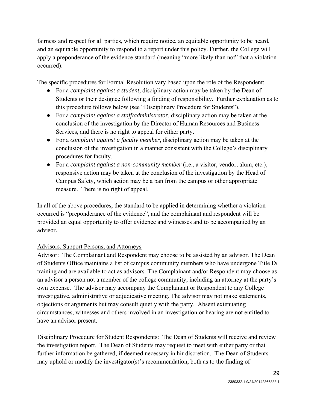fairness and respect for all parties, which require notice, an equitable opportunity to be heard, and an equitable opportunity to respond to a report under this policy. Further, the College will apply a preponderance of the evidence standard (meaning "more likely than not" that a violation occurred).

The specific procedures for Formal Resolution vary based upon the role of the Respondent:

- For a *complaint against a student*, disciplinary action may be taken by the Dean of Students or their designee following a finding of responsibility. Further explanation as to this procedure follows below (see "Disciplinary Procedure for Students").
- For a *complaint against a staff/administrator*, disciplinary action may be taken at the conclusion of the investigation by the Director of Human Resources and Business Services, and there is no right to appeal for either party.
- For a *complaint against a faculty member*, disciplinary action may be taken at the conclusion of the investigation in a manner consistent with the College's disciplinary procedures for faculty.
- For a *complaint against a non-community member* (i.e., a visitor, vendor, alum, etc.), responsive action may be taken at the conclusion of the investigation by the Head of Campus Safety, which action may be a ban from the campus or other appropriate measure. There is no right of appeal.

In all of the above procedures, the standard to be applied in determining whether a violation occurred is "preponderance of the evidence", and the complainant and respondent will be provided an equal opportunity to offer evidence and witnesses and to be accompanied by an advisor.

# Advisors, Support Persons, and Attorneys

Advisor: The Complainant and Respondent may choose to be assisted by an advisor. The Dean of Students Office maintains a list of campus community members who have undergone Title IX training and are available to act as advisors. The Complainant and/or Respondent may choose as an advisor a person not a member of the college community, including an attorney at the party's own expense. The advisor may accompany the Complainant or Respondent to any College investigative, administrative or adjudicative meeting. The advisor may not make statements, objections or arguments but may consult quietly with the party. Absent extenuating circumstances, witnesses and others involved in an investigation or hearing are not entitled to have an advisor present.

Disciplinary Procedure for Student Respondents: The Dean of Students will receive and review the investigation report. The Dean of Students may request to meet with either party or that further information be gathered, if deemed necessary in hir discretion. The Dean of Students may uphold or modify the investigator(s)'s recommendation, both as to the finding of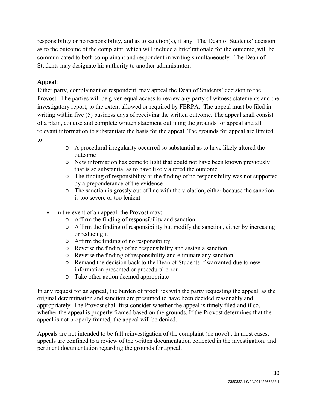responsibility or no responsibility, and as to sanction(s), if any. The Dean of Students' decision as to the outcome of the complaint, which will include a brief rationale for the outcome, will be communicated to both complainant and respondent in writing simultaneously. The Dean of Students may designate hir authority to another administrator.

# **Appeal**:

Either party, complainant or respondent, may appeal the Dean of Students' decision to the Provost. The parties will be given equal access to review any party of witness statements and the investigatory report, to the extent allowed or required by FERPA. The appeal must be filed in writing within five (5) business days of receiving the written outcome. The appeal shall consist of a plain, concise and complete written statement outlining the grounds for appeal and all relevant information to substantiate the basis for the appeal. The grounds for appeal are limited to:

- o A procedural irregularity occurred so substantial as to have likely altered the outcome
- o New information has come to light that could not have been known previously that is so substantial as to have likely altered the outcome
- o The finding of responsibility or the finding of no responsibility was not supported by a preponderance of the evidence
- o The sanction is grossly out of line with the violation, either because the sanction is too severe or too lenient
- In the event of an appeal, the Provost may:
	- o Affirm the finding of responsibility and sanction
	- o Affirm the finding of responsibility but modify the sanction, either by increasing or reducing it
	- o Affirm the finding of no responsibility
	- o Reverse the finding of no responsibility and assign a sanction
	- o Reverse the finding of responsibility and eliminate any sanction
	- o Remand the decision back to the Dean of Students if warranted due to new information presented or procedural error
	- o Take other action deemed appropriate

In any request for an appeal, the burden of proof lies with the party requesting the appeal, as the original determination and sanction are presumed to have been decided reasonably and appropriately. The Provost shall first consider whether the appeal is timely filed and if so, whether the appeal is properly framed based on the grounds. If the Provost determines that the appeal is not properly framed, the appeal will be denied.

Appeals are not intended to be full reinvestigation of the complaint (de novo) . In most cases, appeals are confined to a review of the written documentation collected in the investigation, and pertinent documentation regarding the grounds for appeal.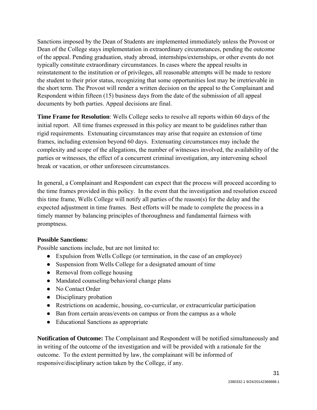Sanctions imposed by the Dean of Students are implemented immediately unless the Provost or Dean of the College stays implementation in extraordinary circumstances, pending the outcome of the appeal. Pending graduation, study abroad, internships/externships, or other events do not typically constitute extraordinary circumstances. In cases where the appeal results in reinstatement to the institution or of privileges, all reasonable attempts will be made to restore the student to their prior status, recognizing that some opportunities lost may be irretrievable in the short term. The Provost will render a written decision on the appeal to the Complainant and Respondent within fifteen (15) business days from the date of the submission of all appeal documents by both parties. Appeal decisions are final.

**Time Frame for Resolution**: Wells College seeks to resolve all reports within 60 days of the initial report. All time frames expressed in this policy are meant to be guidelines rather than rigid requirements. Extenuating circumstances may arise that require an extension of time frames, including extension beyond 60 days. Extenuating circumstances may include the complexity and scope of the allegations, the number of witnesses involved, the availability of the parties or witnesses, the effect of a concurrent criminal investigation, any intervening school break or vacation, or other unforeseen circumstances.

In general, a Complainant and Respondent can expect that the process will proceed according to the time frames provided in this policy. In the event that the investigation and resolution exceed this time frame, Wells College will notify all parties of the reason(s) for the delay and the expected adjustment in time frames. Best efforts will be made to complete the process in a timely manner by balancing principles of thoroughness and fundamental fairness with promptness.

### **Possible Sanctions:**

Possible sanctions include, but are not limited to:

- Expulsion from Wells College (or termination, in the case of an employee)
- Suspension from Wells College for a designated amount of time
- Removal from college housing
- Mandated counseling/behavioral change plans
- No Contact Order
- Disciplinary probation
- Restrictions on academic, housing, co-curricular, or extracurricular participation
- Ban from certain areas/events on campus or from the campus as a whole
- Educational Sanctions as appropriate

**Notification of Outcome:** The Complainant and Respondent will be notified simultaneously and in writing of the outcome of the investigation and will be provided with a rationale for the outcome. To the extent permitted by law, the complainant will be informed of responsive/disciplinary action taken by the College, if any.